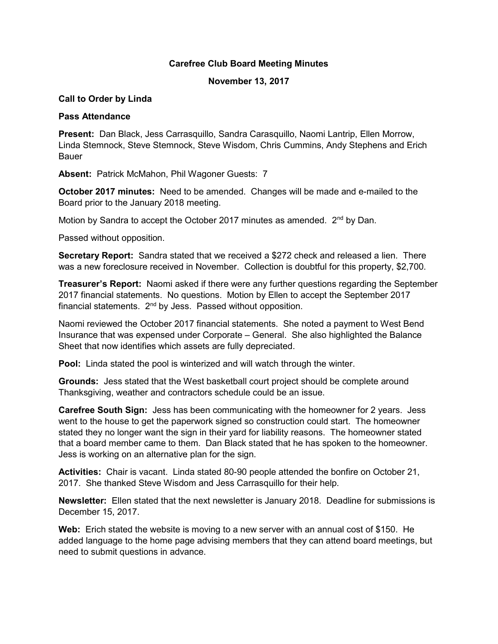# Carefree Club Board Meeting Minutes

## November 13, 2017

#### Call to Order by Linda

#### Pass Attendance

Present: Dan Black, Jess Carrasquillo, Sandra Carasquillo, Naomi Lantrip, Ellen Morrow, Linda Stemnock, Steve Stemnock, Steve Wisdom, Chris Cummins, Andy Stephens and Erich Bauer

Absent: Patrick McMahon, Phil Wagoner Guests: 7

October 2017 minutes: Need to be amended. Changes will be made and e-mailed to the Board prior to the January 2018 meeting.

Motion by Sandra to accept the October 2017 minutes as amended. 2<sup>nd</sup> by Dan.

Passed without opposition.

Secretary Report: Sandra stated that we received a \$272 check and released a lien. There was a new foreclosure received in November. Collection is doubtful for this property, \$2,700.

Treasurer's Report: Naomi asked if there were any further questions regarding the September 2017 financial statements. No questions. Motion by Ellen to accept the September 2017 financial statements. 2<sup>nd</sup> by Jess. Passed without opposition.

Naomi reviewed the October 2017 financial statements. She noted a payment to West Bend Insurance that was expensed under Corporate – General. She also highlighted the Balance Sheet that now identifies which assets are fully depreciated.

Pool: Linda stated the pool is winterized and will watch through the winter.

Grounds: Jess stated that the West basketball court project should be complete around Thanksgiving, weather and contractors schedule could be an issue.

Carefree South Sign: Jess has been communicating with the homeowner for 2 years. Jess went to the house to get the paperwork signed so construction could start. The homeowner stated they no longer want the sign in their yard for liability reasons. The homeowner stated that a board member came to them. Dan Black stated that he has spoken to the homeowner. Jess is working on an alternative plan for the sign.

Activities: Chair is vacant. Linda stated 80-90 people attended the bonfire on October 21, 2017. She thanked Steve Wisdom and Jess Carrasquillo for their help.

Newsletter: Ellen stated that the next newsletter is January 2018. Deadline for submissions is December 15, 2017.

Web: Erich stated the website is moving to a new server with an annual cost of \$150. He added language to the home page advising members that they can attend board meetings, but need to submit questions in advance.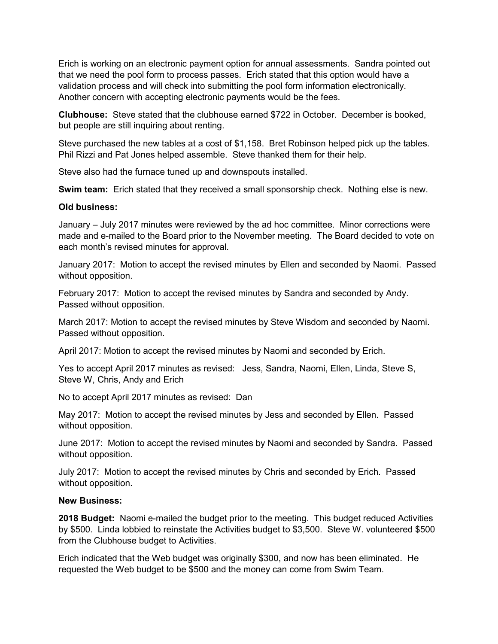Erich is working on an electronic payment option for annual assessments. Sandra pointed out that we need the pool form to process passes. Erich stated that this option would have a validation process and will check into submitting the pool form information electronically. Another concern with accepting electronic payments would be the fees.

Clubhouse: Steve stated that the clubhouse earned \$722 in October. December is booked, but people are still inquiring about renting.

Steve purchased the new tables at a cost of \$1,158. Bret Robinson helped pick up the tables. Phil Rizzi and Pat Jones helped assemble. Steve thanked them for their help.

Steve also had the furnace tuned up and downspouts installed.

Swim team: Erich stated that they received a small sponsorship check. Nothing else is new.

## Old business:

January – July 2017 minutes were reviewed by the ad hoc committee. Minor corrections were made and e-mailed to the Board prior to the November meeting. The Board decided to vote on each month's revised minutes for approval.

January 2017: Motion to accept the revised minutes by Ellen and seconded by Naomi. Passed without opposition.

February 2017: Motion to accept the revised minutes by Sandra and seconded by Andy. Passed without opposition.

March 2017: Motion to accept the revised minutes by Steve Wisdom and seconded by Naomi. Passed without opposition.

April 2017: Motion to accept the revised minutes by Naomi and seconded by Erich.

Yes to accept April 2017 minutes as revised: Jess, Sandra, Naomi, Ellen, Linda, Steve S, Steve W, Chris, Andy and Erich

No to accept April 2017 minutes as revised: Dan

May 2017: Motion to accept the revised minutes by Jess and seconded by Ellen. Passed without opposition.

June 2017: Motion to accept the revised minutes by Naomi and seconded by Sandra. Passed without opposition.

July 2017: Motion to accept the revised minutes by Chris and seconded by Erich. Passed without opposition.

## New Business:

2018 Budget: Naomi e-mailed the budget prior to the meeting. This budget reduced Activities by \$500. Linda lobbied to reinstate the Activities budget to \$3,500. Steve W. volunteered \$500 from the Clubhouse budget to Activities.

Erich indicated that the Web budget was originally \$300, and now has been eliminated. He requested the Web budget to be \$500 and the money can come from Swim Team.